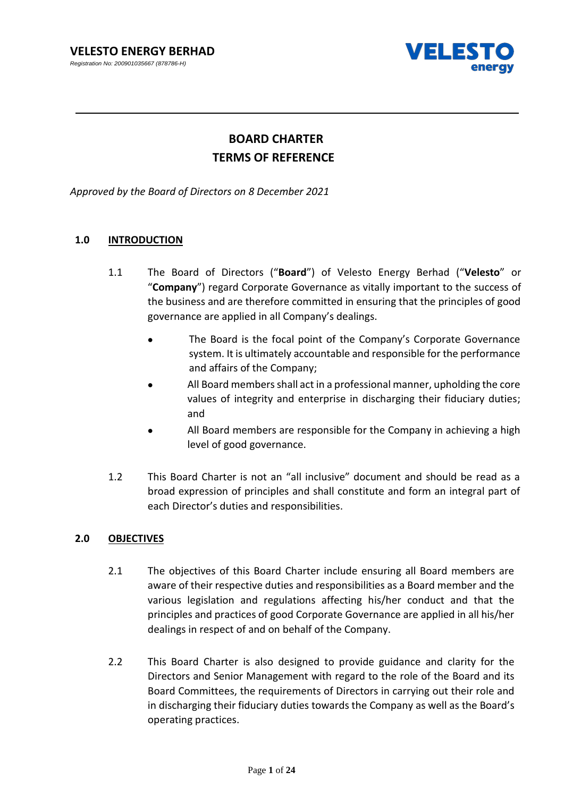*Registration No: 200901035667 (878786-H)* 



# **BOARD CHARTER TERMS OF REFERENCE**

*Approved by the Board of Directors on 8 December 2021*

## **1.0 INTRODUCTION**

- 1.1 The Board of Directors ("**Board**") of Velesto Energy Berhad ("**Velesto**" or "**Company**") regard Corporate Governance as vitally important to the success of the business and are therefore committed in ensuring that the principles of good governance are applied in all Company's dealings.
	- The Board is the focal point of the Company's Corporate Governance system. It is ultimately accountable and responsible for the performance and affairs of the Company;
	- All Board members shall act in a professional manner, upholding the core values of integrity and enterprise in discharging their fiduciary duties; and
	- All Board members are responsible for the Company in achieving a high level of good governance.
- 1.2 This Board Charter is not an "all inclusive" document and should be read as a broad expression of principles and shall constitute and form an integral part of each Director's duties and responsibilities.

## **2.0 OBJECTIVES**

- 2.1 The objectives of this Board Charter include ensuring all Board members are aware of their respective duties and responsibilities as a Board member and the various legislation and regulations affecting his/her conduct and that the principles and practices of good Corporate Governance are applied in all his/her dealings in respect of and on behalf of the Company.
- 2.2 This Board Charter is also designed to provide guidance and clarity for the Directors and Senior Management with regard to the role of the Board and its Board Committees, the requirements of Directors in carrying out their role and in discharging their fiduciary duties towards the Company as well as the Board's operating practices.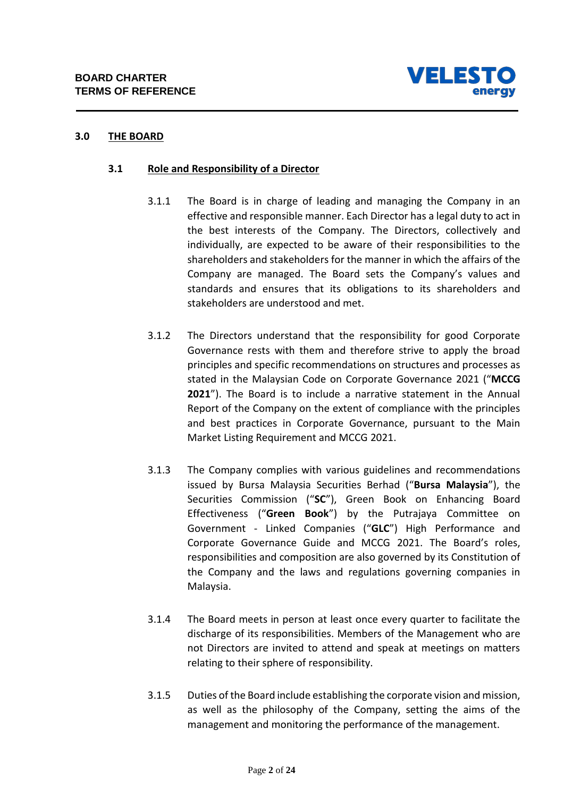

## **3.0 THE BOARD**

## **3.1 Role and Responsibility of a Director**

- 3.1.1 The Board is in charge of leading and managing the Company in an effective and responsible manner. Each Director has a legal duty to act in the best interests of the Company. The Directors, collectively and individually, are expected to be aware of their responsibilities to the shareholders and stakeholders for the manner in which the affairs of the Company are managed. The Board sets the Company's values and standards and ensures that its obligations to its shareholders and stakeholders are understood and met.
- 3.1.2 The Directors understand that the responsibility for good Corporate Governance rests with them and therefore strive to apply the broad principles and specific recommendations on structures and processes as stated in the Malaysian Code on Corporate Governance 2021 ("**MCCG 2021**"). The Board is to include a narrative statement in the Annual Report of the Company on the extent of compliance with the principles and best practices in Corporate Governance, pursuant to the Main Market Listing Requirement and MCCG 2021.
- 3.1.3 The Company complies with various guidelines and recommendations issued by Bursa Malaysia Securities Berhad ("**Bursa Malaysia**"), the Securities Commission ("**SC**"), Green Book on Enhancing Board Effectiveness ("**Green Book**") by the Putrajaya Committee on Government - Linked Companies ("**GLC**") High Performance and Corporate Governance Guide and MCCG 2021. The Board's roles, responsibilities and composition are also governed by its Constitution of the Company and the laws and regulations governing companies in Malaysia.
- 3.1.4 The Board meets in person at least once every quarter to facilitate the discharge of its responsibilities. Members of the Management who are not Directors are invited to attend and speak at meetings on matters relating to their sphere of responsibility.
- 3.1.5 Duties of the Board include establishing the corporate vision and mission, as well as the philosophy of the Company, setting the aims of the management and monitoring the performance of the management.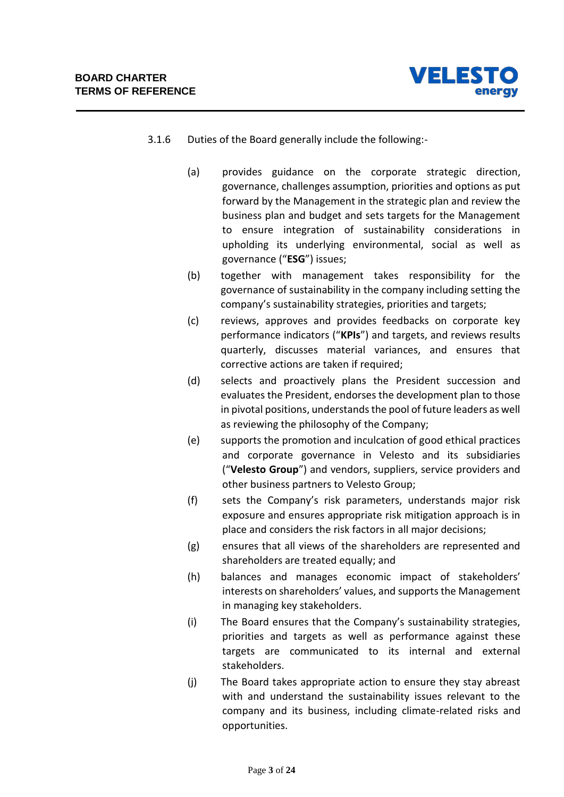

- 3.1.6 Duties of the Board generally include the following:-
	- (a) provides guidance on the corporate strategic direction, governance, challenges assumption, priorities and options as put forward by the Management in the strategic plan and review the business plan and budget and sets targets for the Management to ensure integration of sustainability considerations in upholding its underlying environmental, social as well as governance ("**ESG**") issues;
	- (b) together with management takes responsibility for the governance of sustainability in the company including setting the company's sustainability strategies, priorities and targets;
	- (c) reviews, approves and provides feedbacks on corporate key performance indicators ("**KPIs**") and targets, and reviews results quarterly, discusses material variances, and ensures that corrective actions are taken if required;
	- (d) selects and proactively plans the President succession and evaluates the President, endorses the development plan to those in pivotal positions, understands the pool of future leaders as well as reviewing the philosophy of the Company;
	- (e) supports the promotion and inculcation of good ethical practices and corporate governance in Velesto and its subsidiaries ("**Velesto Group**") and vendors, suppliers, service providers and other business partners to Velesto Group;
	- (f) sets the Company's risk parameters, understands major risk exposure and ensures appropriate risk mitigation approach is in place and considers the risk factors in all major decisions;
	- (g) ensures that all views of the shareholders are represented and shareholders are treated equally; and
	- (h) balances and manages economic impact of stakeholders' interests on shareholders' values, and supports the Management in managing key stakeholders.
	- (i) The Board ensures that the Company's sustainability strategies, priorities and targets as well as performance against these targets are communicated to its internal and external stakeholders.
	- (j) The Board takes appropriate action to ensure they stay abreast with and understand the sustainability issues relevant to the company and its business, including climate-related risks and opportunities.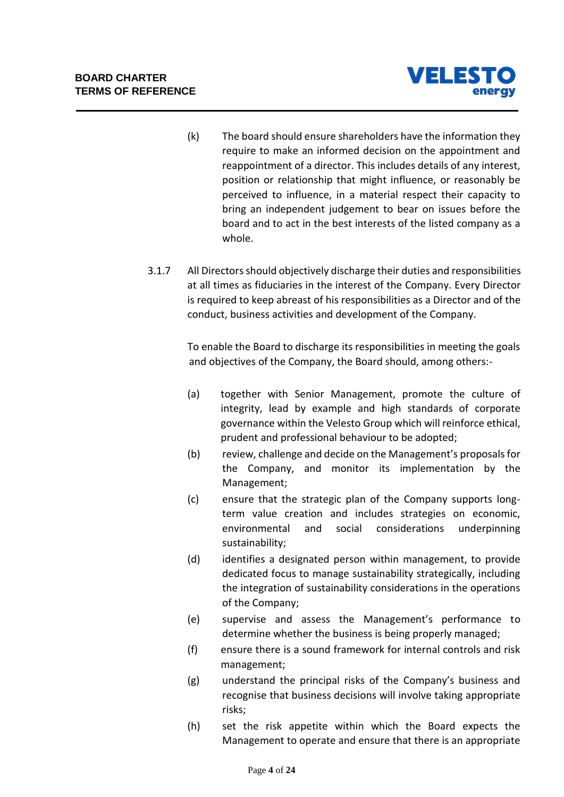

- (k) The board should ensure shareholders have the information they require to make an informed decision on the appointment and reappointment of a director. This includes details of any interest, position or relationship that might influence, or reasonably be perceived to influence, in a material respect their capacity to bring an independent judgement to bear on issues before the board and to act in the best interests of the listed company as a whole.
- 3.1.7 All Directors should objectively discharge their duties and responsibilities at all times as fiduciaries in the interest of the Company. Every Director is required to keep abreast of his responsibilities as a Director and of the conduct, business activities and development of the Company.

To enable the Board to discharge its responsibilities in meeting the goals and objectives of the Company, the Board should, among others:-

- (a) together with Senior Management, promote the culture of integrity, lead by example and high standards of corporate governance within the Velesto Group which will reinforce ethical, prudent and professional behaviour to be adopted;
- (b) review, challenge and decide on the Management's proposals for the Company, and monitor its implementation by the Management;
- (c) ensure that the strategic plan of the Company supports longterm value creation and includes strategies on economic, environmental and social considerations underpinning sustainability;
- (d) identifies a designated person within management, to provide dedicated focus to manage sustainability strategically, including the integration of sustainability considerations in the operations of the Company;
- (e) supervise and assess the Management's performance to determine whether the business is being properly managed;
- (f) ensure there is a sound framework for internal controls and risk management;
- (g) understand the principal risks of the Company's business and recognise that business decisions will involve taking appropriate risks;
- (h) set the risk appetite within which the Board expects the Management to operate and ensure that there is an appropriate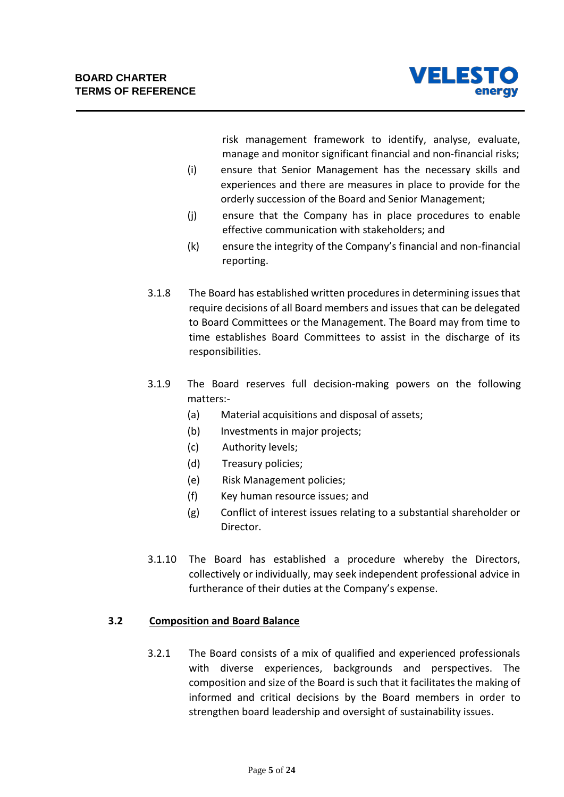

risk management framework to identify, analyse, evaluate, manage and monitor significant financial and non-financial risks;

- (i) ensure that Senior Management has the necessary skills and experiences and there are measures in place to provide for the orderly succession of the Board and Senior Management;
- (j) ensure that the Company has in place procedures to enable effective communication with stakeholders; and
- (k) ensure the integrity of the Company's financial and non-financial reporting.
- 3.1.8 The Board has established written procedures in determining issues that require decisions of all Board members and issues that can be delegated to Board Committees or the Management. The Board may from time to time establishes Board Committees to assist in the discharge of its responsibilities.
- 3.1.9 The Board reserves full decision-making powers on the following matters:-
	- (a) Material acquisitions and disposal of assets;
	- (b) Investments in major projects;
	- (c) Authority levels;
	- (d) Treasury policies;
	- (e) Risk Management policies;
	- (f) Key human resource issues; and
	- (g) Conflict of interest issues relating to a substantial shareholder or Director.
- 3.1.10 The Board has established a procedure whereby the Directors, collectively or individually, may seek independent professional advice in furtherance of their duties at the Company's expense.

## **3.2 Composition and Board Balance**

3.2.1 The Board consists of a mix of qualified and experienced professionals with diverse experiences, backgrounds and perspectives. The composition and size of the Board is such that it facilitates the making of informed and critical decisions by the Board members in order to strengthen board leadership and oversight of sustainability issues.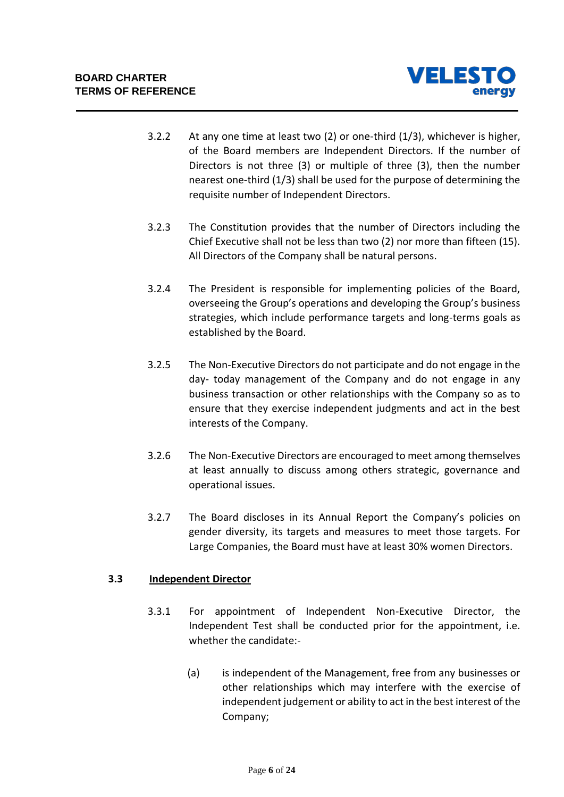

- 3.2.2 At any one time at least two (2) or one-third (1/3), whichever is higher, of the Board members are Independent Directors. If the number of Directors is not three (3) or multiple of three (3), then the number nearest one-third (1/3) shall be used for the purpose of determining the requisite number of Independent Directors.
- 3.2.3 The Constitution provides that the number of Directors including the Chief Executive shall not be less than two (2) nor more than fifteen (15). All Directors of the Company shall be natural persons.
- 3.2.4 The President is responsible for implementing policies of the Board, overseeing the Group's operations and developing the Group's business strategies, which include performance targets and long-terms goals as established by the Board.
- 3.2.5 The Non-Executive Directors do not participate and do not engage in the day- today management of the Company and do not engage in any business transaction or other relationships with the Company so as to ensure that they exercise independent judgments and act in the best interests of the Company.
- 3.2.6 The Non-Executive Directors are encouraged to meet among themselves at least annually to discuss among others strategic, governance and operational issues.
- 3.2.7 The Board discloses in its Annual Report the Company's policies on gender diversity, its targets and measures to meet those targets. For Large Companies, the Board must have at least 30% women Directors.

## **3.3 Independent Director**

- 3.3.1 For appointment of Independent Non-Executive Director, the Independent Test shall be conducted prior for the appointment, i.e. whether the candidate:-
	- (a) is independent of the Management, free from any businesses or other relationships which may interfere with the exercise of independent judgement or ability to act in the best interest of the Company;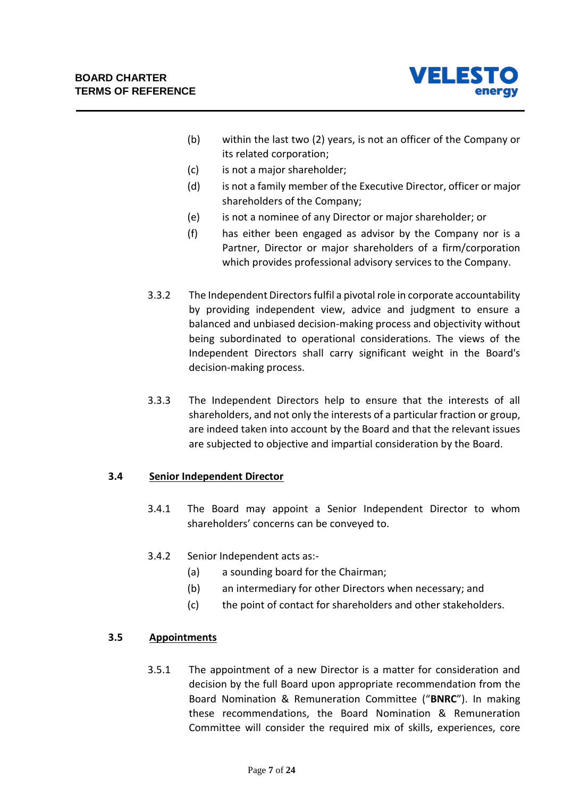

- (b) within the last two (2) years, is not an officer of the Company or its related corporation;
- (c) is not a major shareholder;
- (d) is not a family member of the Executive Director, officer or major shareholders of the Company;
- (e) is not a nominee of any Director or major shareholder; or
- (f) has either been engaged as advisor by the Company nor is a Partner, Director or major shareholders of a firm/corporation which provides professional advisory services to the Company.
- 3.3.2 The Independent Directors fulfil a pivotal role in corporate accountability by providing independent view, advice and judgment to ensure a balanced and unbiased decision-making process and objectivity without being subordinated to operational considerations. The views of the Independent Directors shall carry significant weight in the Board's decision-making process.
- 3.3.3 The Independent Directors help to ensure that the interests of all shareholders, and not only the interests of a particular fraction or group, are indeed taken into account by the Board and that the relevant issues are subjected to objective and impartial consideration by the Board.

## **3.4 Senior Independent Director**

- 3.4.1 The Board may appoint a Senior Independent Director to whom shareholders' concerns can be conveyed to.
- 3.4.2 Senior Independent acts as:-
	- (a) a sounding board for the Chairman;
	- (b) an intermediary for other Directors when necessary; and
	- (c) the point of contact for shareholders and other stakeholders.

## **3.5 Appointments**

3.5.1 The appointment of a new Director is a matter for consideration and decision by the full Board upon appropriate recommendation from the Board Nomination & Remuneration Committee ("**BNRC**"). In making these recommendations, the Board Nomination & Remuneration Committee will consider the required mix of skills, experiences, core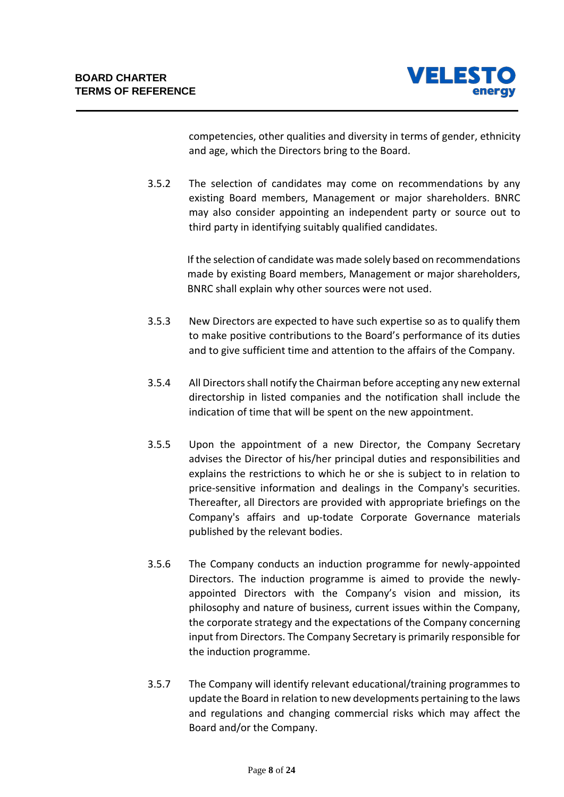

competencies, other qualities and diversity in terms of gender, ethnicity and age, which the Directors bring to the Board.

3.5.2 The selection of candidates may come on recommendations by any existing Board members, Management or major shareholders. BNRC may also consider appointing an independent party or source out to third party in identifying suitably qualified candidates.

> If the selection of candidate was made solely based on recommendations made by existing Board members, Management or major shareholders, BNRC shall explain why other sources were not used.

- 3.5.3 New Directors are expected to have such expertise so as to qualify them to make positive contributions to the Board's performance of its duties and to give sufficient time and attention to the affairs of the Company.
- 3.5.4 All Directors shall notify the Chairman before accepting any new external directorship in listed companies and the notification shall include the indication of time that will be spent on the new appointment.
- 3.5.5 Upon the appointment of a new Director, the Company Secretary advises the Director of his/her principal duties and responsibilities and explains the restrictions to which he or she is subject to in relation to price-sensitive information and dealings in the Company's securities. Thereafter, all Directors are provided with appropriate briefings on the Company's affairs and up-todate Corporate Governance materials published by the relevant bodies.
- 3.5.6 The Company conducts an induction programme for newly-appointed Directors. The induction programme is aimed to provide the newlyappointed Directors with the Company's vision and mission, its philosophy and nature of business, current issues within the Company, the corporate strategy and the expectations of the Company concerning input from Directors. The Company Secretary is primarily responsible for the induction programme.
- 3.5.7 The Company will identify relevant educational/training programmes to update the Board in relation to new developments pertaining to the laws and regulations and changing commercial risks which may affect the Board and/or the Company.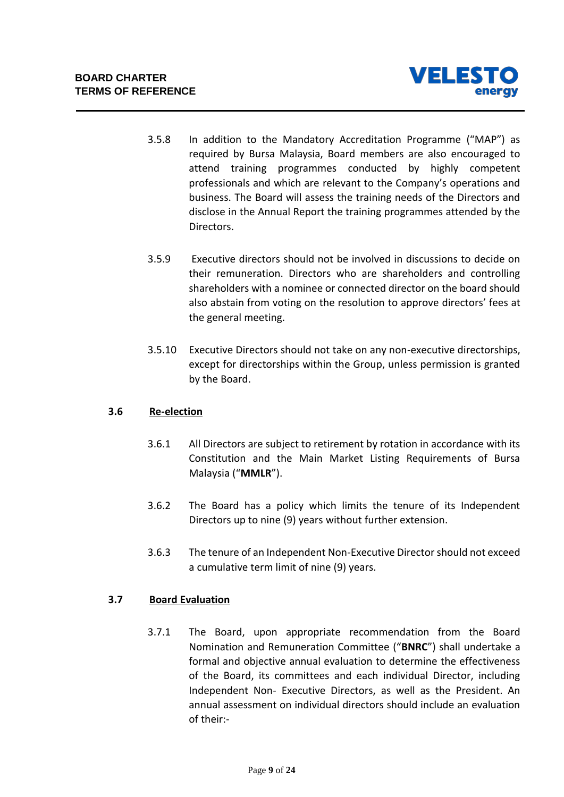

- 3.5.8 In addition to the Mandatory Accreditation Programme ("MAP") as required by Bursa Malaysia, Board members are also encouraged to attend training programmes conducted by highly competent professionals and which are relevant to the Company's operations and business. The Board will assess the training needs of the Directors and disclose in the Annual Report the training programmes attended by the Directors.
- 3.5.9 Executive directors should not be involved in discussions to decide on their remuneration. Directors who are shareholders and controlling shareholders with a nominee or connected director on the board should also abstain from voting on the resolution to approve directors' fees at the general meeting.
- 3.5.10 Executive Directors should not take on any non-executive directorships, except for directorships within the Group, unless permission is granted by the Board.

## **3.6 Re-election**

- 3.6.1 All Directors are subject to retirement by rotation in accordance with its Constitution and the Main Market Listing Requirements of Bursa Malaysia ("**MMLR**").
- 3.6.2 The Board has a policy which limits the tenure of its Independent Directors up to nine (9) years without further extension.
- 3.6.3 The tenure of an Independent Non-Executive Director should not exceed a cumulative term limit of nine (9) years.

## **3.7 Board Evaluation**

3.7.1 The Board, upon appropriate recommendation from the Board Nomination and Remuneration Committee ("**BNRC**") shall undertake a formal and objective annual evaluation to determine the effectiveness of the Board, its committees and each individual Director, including Independent Non- Executive Directors, as well as the President. An annual assessment on individual directors should include an evaluation of their:-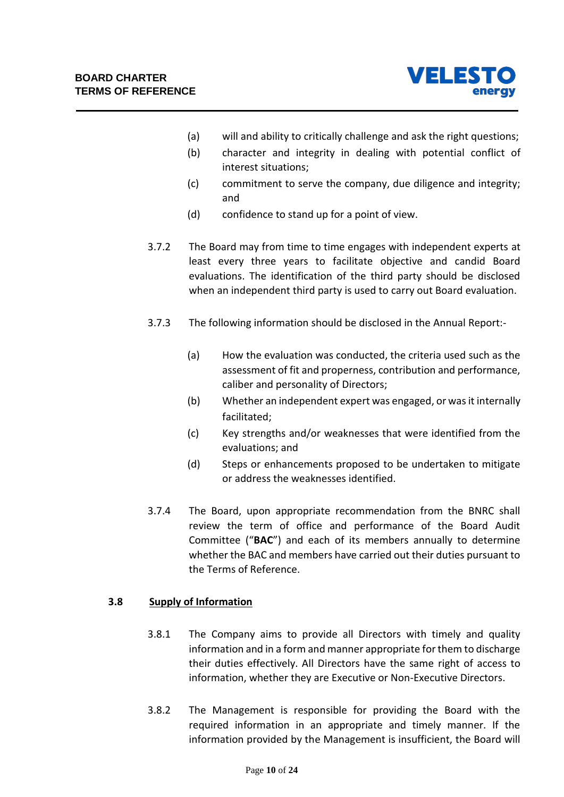

- (a) will and ability to critically challenge and ask the right questions;
- (b) character and integrity in dealing with potential conflict of interest situations;
- (c) commitment to serve the company, due diligence and integrity; and
- (d) confidence to stand up for a point of view.
- 3.7.2 The Board may from time to time engages with independent experts at least every three years to facilitate objective and candid Board evaluations. The identification of the third party should be disclosed when an independent third party is used to carry out Board evaluation.
- 3.7.3 The following information should be disclosed in the Annual Report:-
	- (a) How the evaluation was conducted, the criteria used such as the assessment of fit and properness, contribution and performance, caliber and personality of Directors;
	- (b) Whether an independent expert was engaged, or was it internally facilitated;
	- (c) Key strengths and/or weaknesses that were identified from the evaluations; and
	- (d) Steps or enhancements proposed to be undertaken to mitigate or address the weaknesses identified.
- 3.7.4 The Board, upon appropriate recommendation from the BNRC shall review the term of office and performance of the Board Audit Committee ("**BAC**") and each of its members annually to determine whether the BAC and members have carried out their duties pursuant to the Terms of Reference.

## **3.8 Supply of Information**

- 3.8.1 The Company aims to provide all Directors with timely and quality information and in a form and manner appropriate for them to discharge their duties effectively. All Directors have the same right of access to information, whether they are Executive or Non-Executive Directors.
- 3.8.2 The Management is responsible for providing the Board with the required information in an appropriate and timely manner. If the information provided by the Management is insufficient, the Board will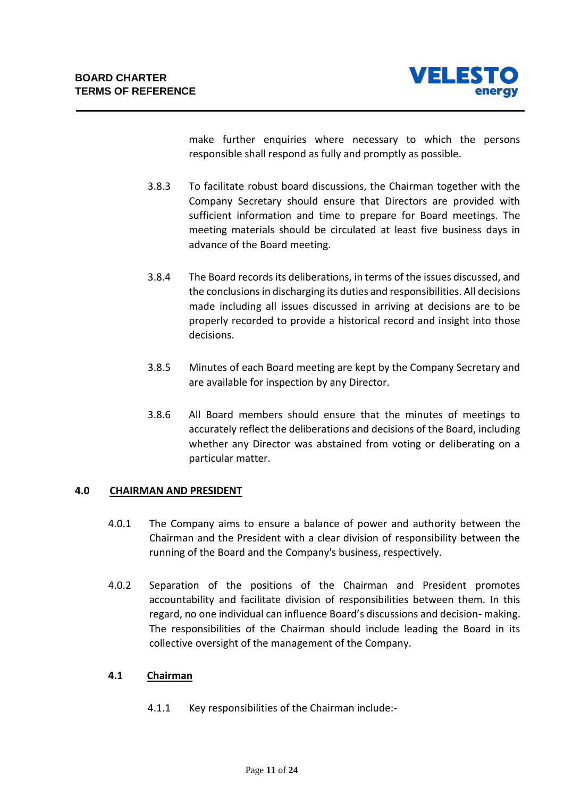

make further enquiries where necessary to which the persons responsible shall respond as fully and promptly as possible.

- 3.8.3 To facilitate robust board discussions, the Chairman together with the Company Secretary should ensure that Directors are provided with sufficient information and time to prepare for Board meetings. The meeting materials should be circulated at least five business days in advance of the Board meeting.
- 3.8.4 The Board records its deliberations, in terms of the issues discussed, and the conclusions in discharging its duties and responsibilities. All decisions made including all issues discussed in arriving at decisions are to be properly recorded to provide a historical record and insight into those decisions.
- 3.8.5 Minutes of each Board meeting are kept by the Company Secretary and are available for inspection by any Director.
- 3.8.6 All Board members should ensure that the minutes of meetings to accurately reflect the deliberations and decisions of the Board, including whether any Director was abstained from voting or deliberating on a particular matter.

## **4.0 CHAIRMAN AND PRESIDENT**

- 4.0.1 The Company aims to ensure a balance of power and authority between the Chairman and the President with a clear division of responsibility between the running of the Board and the Company's business, respectively.
- 4.0.2 Separation of the positions of the Chairman and President promotes accountability and facilitate division of responsibilities between them. In this regard, no one individual can influence Board's discussions and decision- making. The responsibilities of the Chairman should include leading the Board in its collective oversight of the management of the Company.

## **4.1 Chairman**

4.1.1 Key responsibilities of the Chairman include:-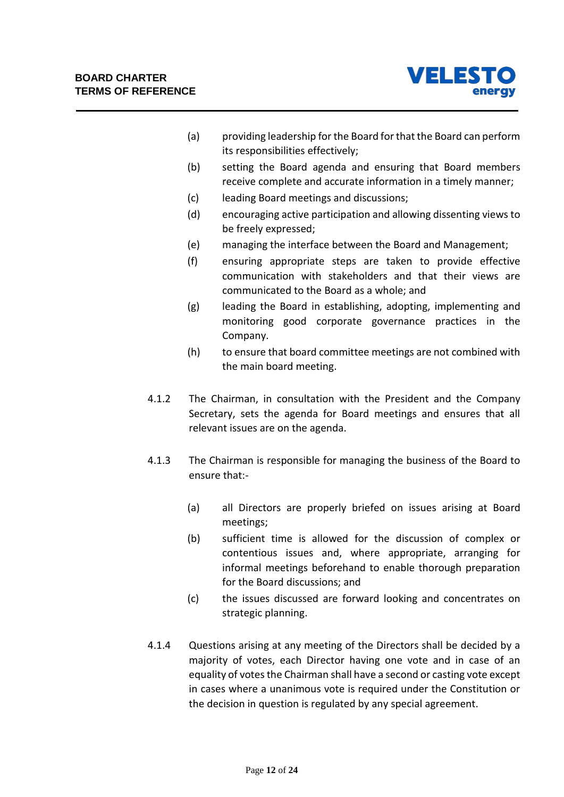

- (a) providing leadership for the Board for that the Board can perform its responsibilities effectively;
- (b) setting the Board agenda and ensuring that Board members receive complete and accurate information in a timely manner;
- (c) leading Board meetings and discussions;
- (d) encouraging active participation and allowing dissenting views to be freely expressed;
- (e) managing the interface between the Board and Management;
- (f) ensuring appropriate steps are taken to provide effective communication with stakeholders and that their views are communicated to the Board as a whole; and
- (g) leading the Board in establishing, adopting, implementing and monitoring good corporate governance practices in the Company.
- (h) to ensure that board committee meetings are not combined with the main board meeting.
- 4.1.2 The Chairman, in consultation with the President and the Company Secretary, sets the agenda for Board meetings and ensures that all relevant issues are on the agenda.
- 4.1.3 The Chairman is responsible for managing the business of the Board to ensure that:-
	- (a) all Directors are properly briefed on issues arising at Board meetings;
	- (b) sufficient time is allowed for the discussion of complex or contentious issues and, where appropriate, arranging for informal meetings beforehand to enable thorough preparation for the Board discussions; and
	- (c) the issues discussed are forward looking and concentrates on strategic planning.
- 4.1.4 Questions arising at any meeting of the Directors shall be decided by a majority of votes, each Director having one vote and in case of an equality of votes the Chairman shall have a second or casting vote except in cases where a unanimous vote is required under the Constitution or the decision in question is regulated by any special agreement.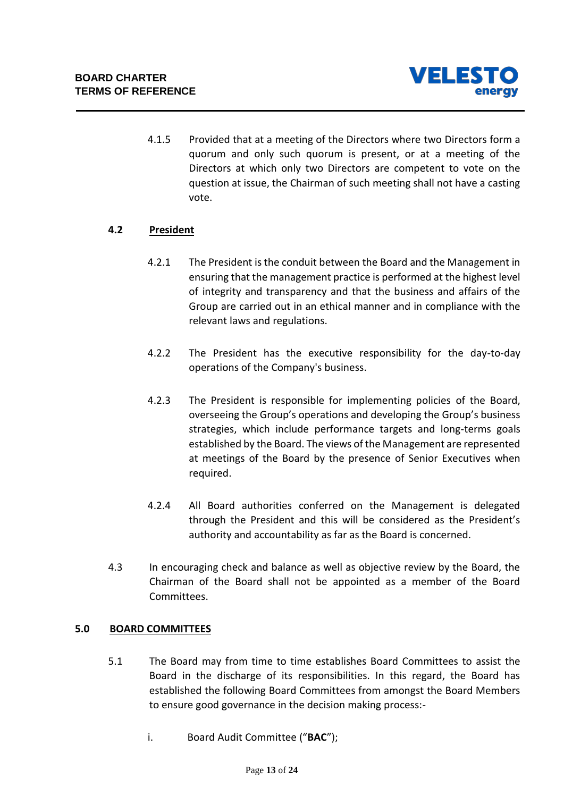

4.1.5 Provided that at a meeting of the Directors where two Directors form a quorum and only such quorum is present, or at a meeting of the Directors at which only two Directors are competent to vote on the question at issue, the Chairman of such meeting shall not have a casting vote.

## **4.2 President**

- 4.2.1 The President is the conduit between the Board and the Management in ensuring that the management practice is performed at the highest level of integrity and transparency and that the business and affairs of the Group are carried out in an ethical manner and in compliance with the relevant laws and regulations.
- 4.2.2 The President has the executive responsibility for the day-to-day operations of the Company's business.
- 4.2.3 The President is responsible for implementing policies of the Board, overseeing the Group's operations and developing the Group's business strategies, which include performance targets and long-terms goals established by the Board. The views of the Management are represented at meetings of the Board by the presence of Senior Executives when required.
- 4.2.4 All Board authorities conferred on the Management is delegated through the President and this will be considered as the President's authority and accountability as far as the Board is concerned.
- 4.3 In encouraging check and balance as well as objective review by the Board, the Chairman of the Board shall not be appointed as a member of the Board Committees.

## **5.0 BOARD COMMITTEES**

- 5.1 The Board may from time to time establishes Board Committees to assist the Board in the discharge of its responsibilities. In this regard, the Board has established the following Board Committees from amongst the Board Members to ensure good governance in the decision making process:
	- i. Board Audit Committee ("**BAC**");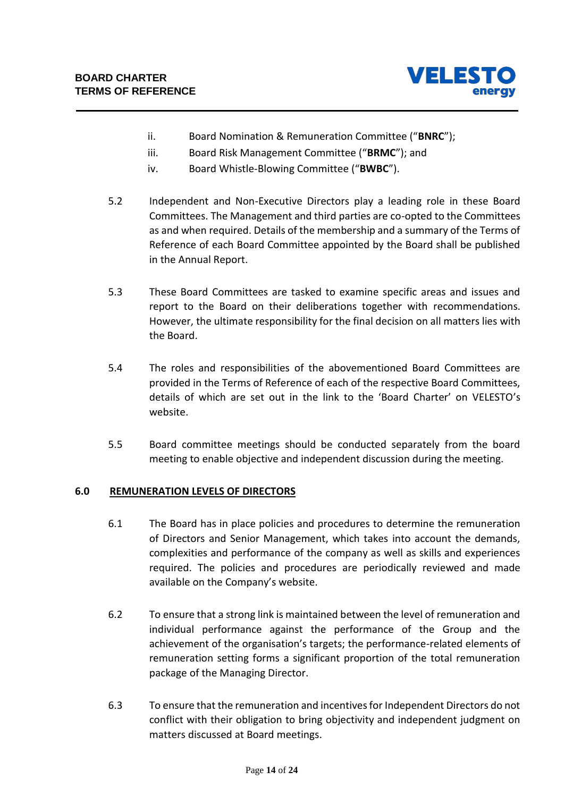

- ii. Board Nomination & Remuneration Committee ("**BNRC**");
- iii. Board Risk Management Committee ("**BRMC**"); and
- iv. Board Whistle-Blowing Committee ("**BWBC**").
- 5.2 Independent and Non-Executive Directors play a leading role in these Board Committees. The Management and third parties are co-opted to the Committees as and when required. Details of the membership and a summary of the Terms of Reference of each Board Committee appointed by the Board shall be published in the Annual Report.
- 5.3 These Board Committees are tasked to examine specific areas and issues and report to the Board on their deliberations together with recommendations. However, the ultimate responsibility for the final decision on all matters lies with the Board.
- 5.4 The roles and responsibilities of the abovementioned Board Committees are provided in the Terms of Reference of each of the respective Board Committees, details of which are set out in the link to the 'Board Charter' on VELESTO's website.
- 5.5 Board committee meetings should be conducted separately from the board meeting to enable objective and independent discussion during the meeting.

## **6.0 REMUNERATION LEVELS OF DIRECTORS**

- 6.1 The Board has in place policies and procedures to determine the remuneration of Directors and Senior Management, which takes into account the demands, complexities and performance of the company as well as skills and experiences required. The policies and procedures are periodically reviewed and made available on the Company's website.
- 6.2 To ensure that a strong link is maintained between the level of remuneration and individual performance against the performance of the Group and the achievement of the organisation's targets; the performance-related elements of remuneration setting forms a significant proportion of the total remuneration package of the Managing Director.
- 6.3 To ensure that the remuneration and incentives for Independent Directors do not conflict with their obligation to bring objectivity and independent judgment on matters discussed at Board meetings.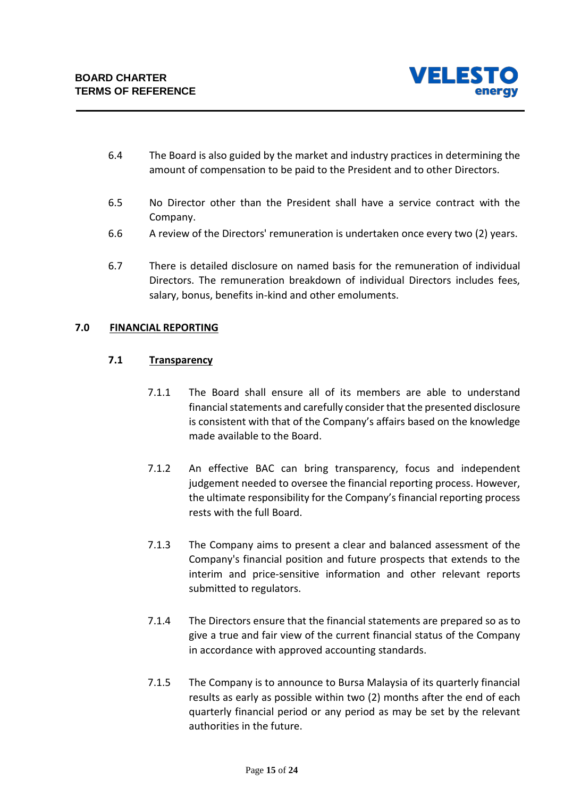

- 6.4 The Board is also guided by the market and industry practices in determining the amount of compensation to be paid to the President and to other Directors.
- 6.5 No Director other than the President shall have a service contract with the Company.
- 6.6 A review of the Directors' remuneration is undertaken once every two (2) years.
- 6.7 There is detailed disclosure on named basis for the remuneration of individual Directors. The remuneration breakdown of individual Directors includes fees, salary, bonus, benefits in-kind and other emoluments.

## **7.0 FINANCIAL REPORTING**

## **7.1 Transparency**

- 7.1.1 The Board shall ensure all of its members are able to understand financial statements and carefully consider that the presented disclosure is consistent with that of the Company's affairs based on the knowledge made available to the Board.
- 7.1.2 An effective BAC can bring transparency, focus and independent judgement needed to oversee the financial reporting process. However, the ultimate responsibility for the Company's financial reporting process rests with the full Board.
- 7.1.3 The Company aims to present a clear and balanced assessment of the Company's financial position and future prospects that extends to the interim and price-sensitive information and other relevant reports submitted to regulators.
- 7.1.4 The Directors ensure that the financial statements are prepared so as to give a true and fair view of the current financial status of the Company in accordance with approved accounting standards.
- 7.1.5 The Company is to announce to Bursa Malaysia of its quarterly financial results as early as possible within two (2) months after the end of each quarterly financial period or any period as may be set by the relevant authorities in the future.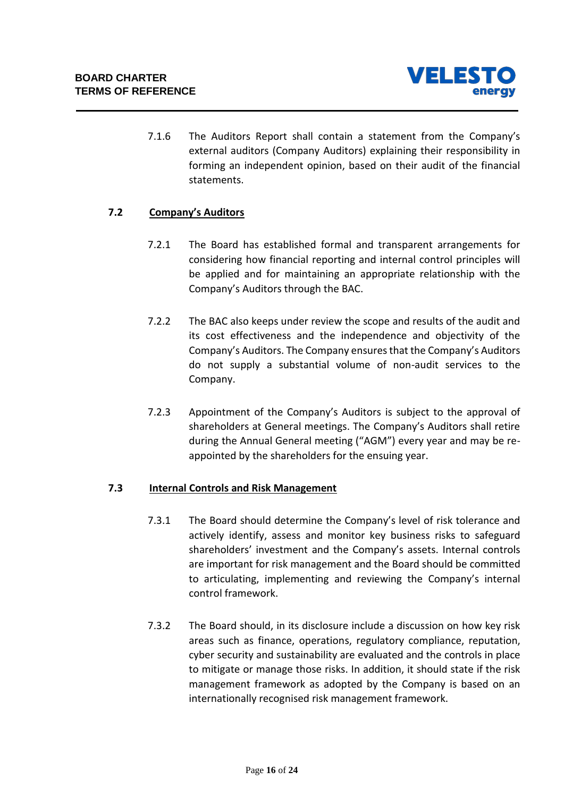

7.1.6 The Auditors Report shall contain a statement from the Company's external auditors (Company Auditors) explaining their responsibility in forming an independent opinion, based on their audit of the financial statements.

## **7.2 Company's Auditors**

- 7.2.1 The Board has established formal and transparent arrangements for considering how financial reporting and internal control principles will be applied and for maintaining an appropriate relationship with the Company's Auditors through the BAC.
- 7.2.2 The BAC also keeps under review the scope and results of the audit and its cost effectiveness and the independence and objectivity of the Company's Auditors. The Company ensures that the Company's Auditors do not supply a substantial volume of non-audit services to the Company.
- 7.2.3 Appointment of the Company's Auditors is subject to the approval of shareholders at General meetings. The Company's Auditors shall retire during the Annual General meeting ("AGM") every year and may be reappointed by the shareholders for the ensuing year.

## **7.3 Internal Controls and Risk Management**

- 7.3.1 The Board should determine the Company's level of risk tolerance and actively identify, assess and monitor key business risks to safeguard shareholders' investment and the Company's assets. Internal controls are important for risk management and the Board should be committed to articulating, implementing and reviewing the Company's internal control framework.
- 7.3.2 The Board should, in its disclosure include a discussion on how key risk areas such as finance, operations, regulatory compliance, reputation, cyber security and sustainability are evaluated and the controls in place to mitigate or manage those risks. In addition, it should state if the risk management framework as adopted by the Company is based on an internationally recognised risk management framework.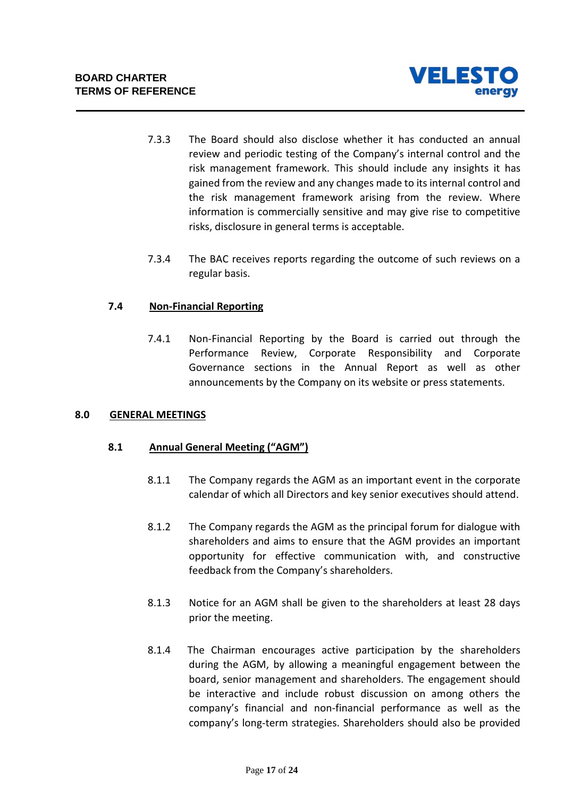

- 7.3.3 The Board should also disclose whether it has conducted an annual review and periodic testing of the Company's internal control and the risk management framework. This should include any insights it has gained from the review and any changes made to its internal control and the risk management framework arising from the review. Where information is commercially sensitive and may give rise to competitive risks, disclosure in general terms is acceptable.
- 7.3.4 The BAC receives reports regarding the outcome of such reviews on a regular basis.

## **7.4 Non-Financial Reporting**

7.4.1 Non-Financial Reporting by the Board is carried out through the Performance Review, Corporate Responsibility and Corporate Governance sections in the Annual Report as well as other announcements by the Company on its website or press statements.

## **8.0 GENERAL MEETINGS**

## **8.1 Annual General Meeting ("AGM")**

- 8.1.1 The Company regards the AGM as an important event in the corporate calendar of which all Directors and key senior executives should attend.
- 8.1.2 The Company regards the AGM as the principal forum for dialogue with shareholders and aims to ensure that the AGM provides an important opportunity for effective communication with, and constructive feedback from the Company's shareholders.
- 8.1.3 Notice for an AGM shall be given to the shareholders at least 28 days prior the meeting.
- 8.1.4 The Chairman encourages active participation by the shareholders during the AGM, by allowing a meaningful engagement between the board, senior management and shareholders. The engagement should be interactive and include robust discussion on among others the company's financial and non-financial performance as well as the company's long-term strategies. Shareholders should also be provided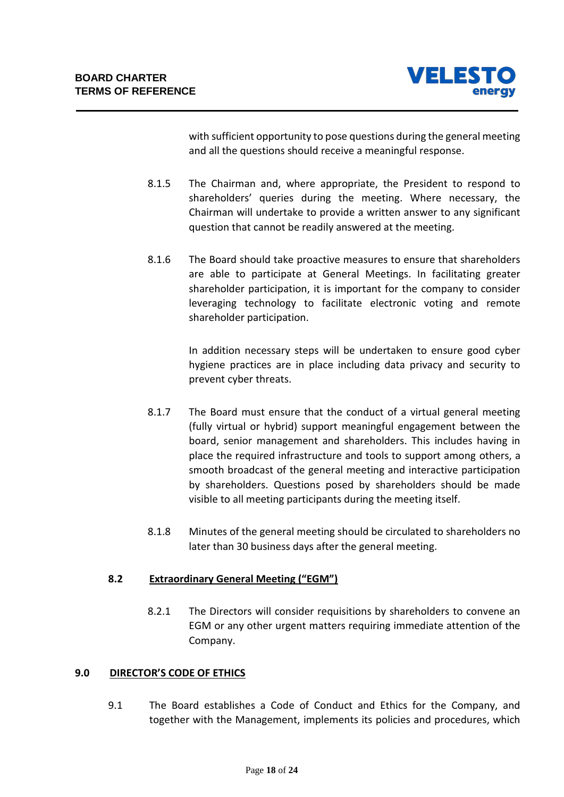

with sufficient opportunity to pose questions during the general meeting and all the questions should receive a meaningful response.

- 8.1.5 The Chairman and, where appropriate, the President to respond to shareholders' queries during the meeting. Where necessary, the Chairman will undertake to provide a written answer to any significant question that cannot be readily answered at the meeting.
- 8.1.6 The Board should take proactive measures to ensure that shareholders are able to participate at General Meetings. In facilitating greater shareholder participation, it is important for the company to consider leveraging technology to facilitate electronic voting and remote shareholder participation.

In addition necessary steps will be undertaken to ensure good cyber hygiene practices are in place including data privacy and security to prevent cyber threats.

- 8.1.7 The Board must ensure that the conduct of a virtual general meeting (fully virtual or hybrid) support meaningful engagement between the board, senior management and shareholders. This includes having in place the required infrastructure and tools to support among others, a smooth broadcast of the general meeting and interactive participation by shareholders. Questions posed by shareholders should be made visible to all meeting participants during the meeting itself.
- 8.1.8 Minutes of the general meeting should be circulated to shareholders no later than 30 business days after the general meeting.

## **8.2 Extraordinary General Meeting ("EGM")**

8.2.1 The Directors will consider requisitions by shareholders to convene an EGM or any other urgent matters requiring immediate attention of the Company.

## **9.0 DIRECTOR'S CODE OF ETHICS**

9.1 The Board establishes a Code of Conduct and Ethics for the Company, and together with the Management, implements its policies and procedures, which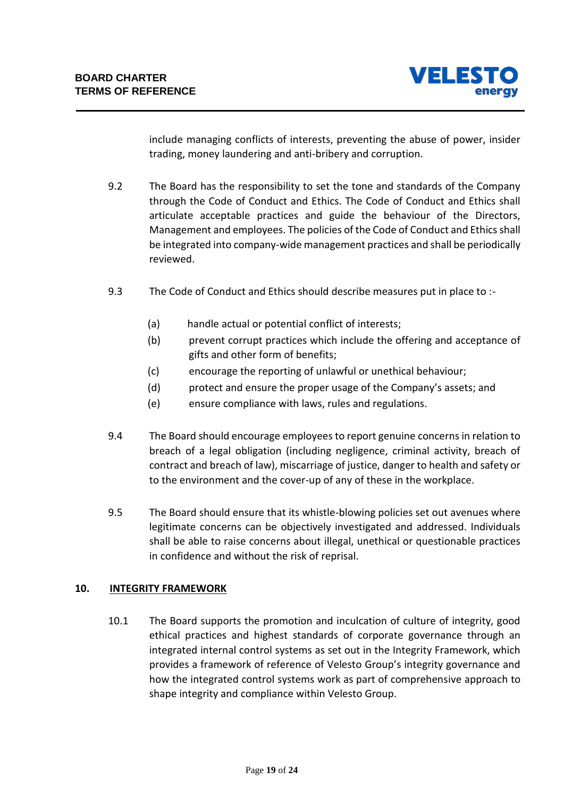

include managing conflicts of interests, preventing the abuse of power, insider trading, money laundering and anti-bribery and corruption.

- 9.2 The Board has the responsibility to set the tone and standards of the Company through the Code of Conduct and Ethics. The Code of Conduct and Ethics shall articulate acceptable practices and guide the behaviour of the Directors, Management and employees. The policies of the Code of Conduct and Ethics shall be integrated into company-wide management practices and shall be periodically reviewed.
- 9.3 The Code of Conduct and Ethics should describe measures put in place to :-
	- (a) handle actual or potential conflict of interests;
	- (b) prevent corrupt practices which include the offering and acceptance of gifts and other form of benefits;
	- (c) encourage the reporting of unlawful or unethical behaviour;
	- (d) protect and ensure the proper usage of the Company's assets; and
	- (e) ensure compliance with laws, rules and regulations.
- 9.4 The Board should encourage employees to report genuine concerns in relation to breach of a legal obligation (including negligence, criminal activity, breach of contract and breach of law), miscarriage of justice, danger to health and safety or to the environment and the cover-up of any of these in the workplace.
- 9.5 The Board should ensure that its whistle-blowing policies set out avenues where legitimate concerns can be objectively investigated and addressed. Individuals shall be able to raise concerns about illegal, unethical or questionable practices in confidence and without the risk of reprisal.

## **10. INTEGRITY FRAMEWORK**

10.1 The Board supports the promotion and inculcation of culture of integrity, good ethical practices and highest standards of corporate governance through an integrated internal control systems as set out in the Integrity Framework, which provides a framework of reference of Velesto Group's integrity governance and how the integrated control systems work as part of comprehensive approach to shape integrity and compliance within Velesto Group.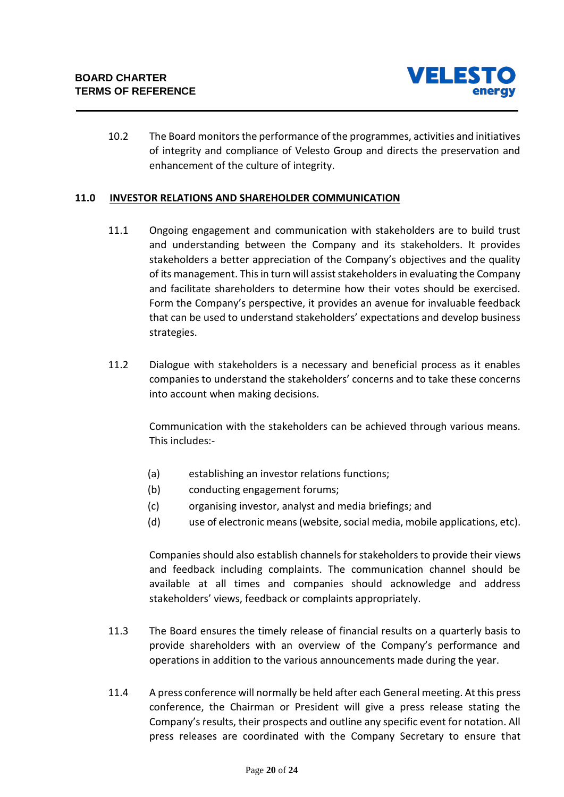

10.2 The Board monitors the performance of the programmes, activities and initiatives of integrity and compliance of Velesto Group and directs the preservation and enhancement of the culture of integrity.

#### **11.0 INVESTOR RELATIONS AND SHAREHOLDER COMMUNICATION**

- 11.1 Ongoing engagement and communication with stakeholders are to build trust and understanding between the Company and its stakeholders. It provides stakeholders a better appreciation of the Company's objectives and the quality of its management. This in turn will assist stakeholders in evaluating the Company and facilitate shareholders to determine how their votes should be exercised. Form the Company's perspective, it provides an avenue for invaluable feedback that can be used to understand stakeholders' expectations and develop business strategies.
- 11.2 Dialogue with stakeholders is a necessary and beneficial process as it enables companies to understand the stakeholders' concerns and to take these concerns into account when making decisions.

Communication with the stakeholders can be achieved through various means. This includes:-

- (a) establishing an investor relations functions;
- (b) conducting engagement forums;
- (c) organising investor, analyst and media briefings; and
- (d) use of electronic means (website, social media, mobile applications, etc).

Companies should also establish channels for stakeholders to provide their views and feedback including complaints. The communication channel should be available at all times and companies should acknowledge and address stakeholders' views, feedback or complaints appropriately.

- 11.3 The Board ensures the timely release of financial results on a quarterly basis to provide shareholders with an overview of the Company's performance and operations in addition to the various announcements made during the year.
- 11.4 A press conference will normally be held after each General meeting. At this press conference, the Chairman or President will give a press release stating the Company's results, their prospects and outline any specific event for notation. All press releases are coordinated with the Company Secretary to ensure that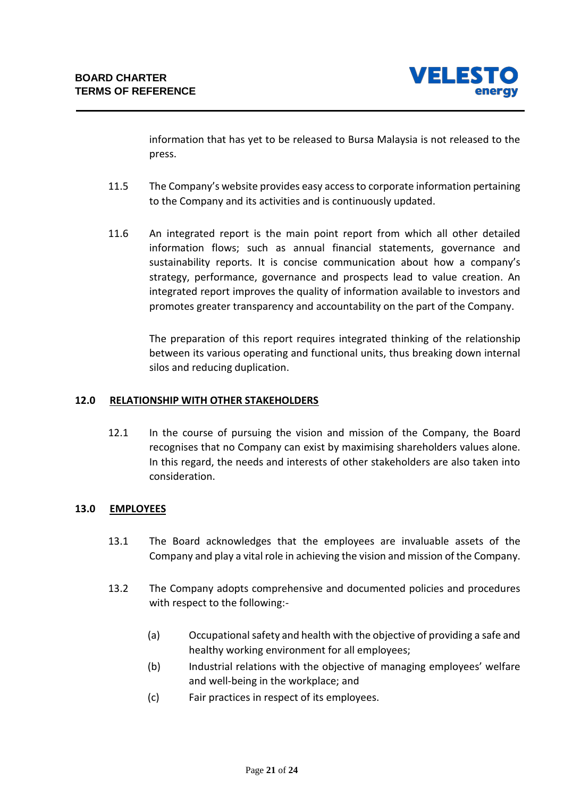

information that has yet to be released to Bursa Malaysia is not released to the press.

- 11.5 The Company's website provides easy access to corporate information pertaining to the Company and its activities and is continuously updated.
- 11.6 An integrated report is the main point report from which all other detailed information flows; such as annual financial statements, governance and sustainability reports. It is concise communication about how a company's strategy, performance, governance and prospects lead to value creation. An integrated report improves the quality of information available to investors and promotes greater transparency and accountability on the part of the Company.

The preparation of this report requires integrated thinking of the relationship between its various operating and functional units, thus breaking down internal silos and reducing duplication.

## **12.0 RELATIONSHIP WITH OTHER STAKEHOLDERS**

12.1 In the course of pursuing the vision and mission of the Company, the Board recognises that no Company can exist by maximising shareholders values alone. In this regard, the needs and interests of other stakeholders are also taken into consideration.

## **13.0 EMPLOYEES**

- 13.1 The Board acknowledges that the employees are invaluable assets of the Company and play a vital role in achieving the vision and mission of the Company.
- 13.2 The Company adopts comprehensive and documented policies and procedures with respect to the following:-
	- (a) Occupational safety and health with the objective of providing a safe and healthy working environment for all employees;
	- (b) Industrial relations with the objective of managing employees' welfare and well-being in the workplace; and
	- (c) Fair practices in respect of its employees.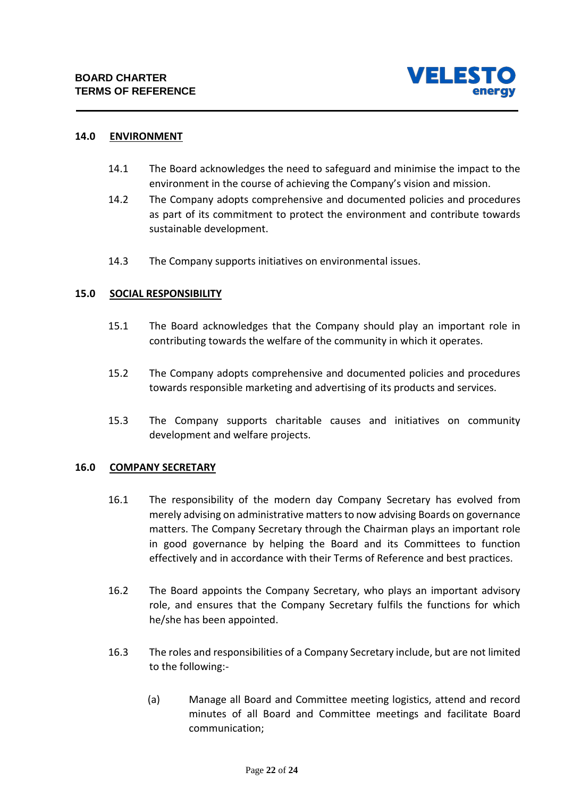

## **14.0 ENVIRONMENT**

- 14.1 The Board acknowledges the need to safeguard and minimise the impact to the environment in the course of achieving the Company's vision and mission.
- 14.2 The Company adopts comprehensive and documented policies and procedures as part of its commitment to protect the environment and contribute towards sustainable development.
- 14.3 The Company supports initiatives on environmental issues.

#### **15.0 SOCIAL RESPONSIBILITY**

- 15.1 The Board acknowledges that the Company should play an important role in contributing towards the welfare of the community in which it operates.
- 15.2 The Company adopts comprehensive and documented policies and procedures towards responsible marketing and advertising of its products and services.
- 15.3 The Company supports charitable causes and initiatives on community development and welfare projects.

#### **16.0 COMPANY SECRETARY**

- 16.1 The responsibility of the modern day Company Secretary has evolved from merely advising on administrative matters to now advising Boards on governance matters. The Company Secretary through the Chairman plays an important role in good governance by helping the Board and its Committees to function effectively and in accordance with their Terms of Reference and best practices.
- 16.2 The Board appoints the Company Secretary, who plays an important advisory role, and ensures that the Company Secretary fulfils the functions for which he/she has been appointed.
- 16.3 The roles and responsibilities of a Company Secretary include, but are not limited to the following:-
	- (a) Manage all Board and Committee meeting logistics, attend and record minutes of all Board and Committee meetings and facilitate Board communication;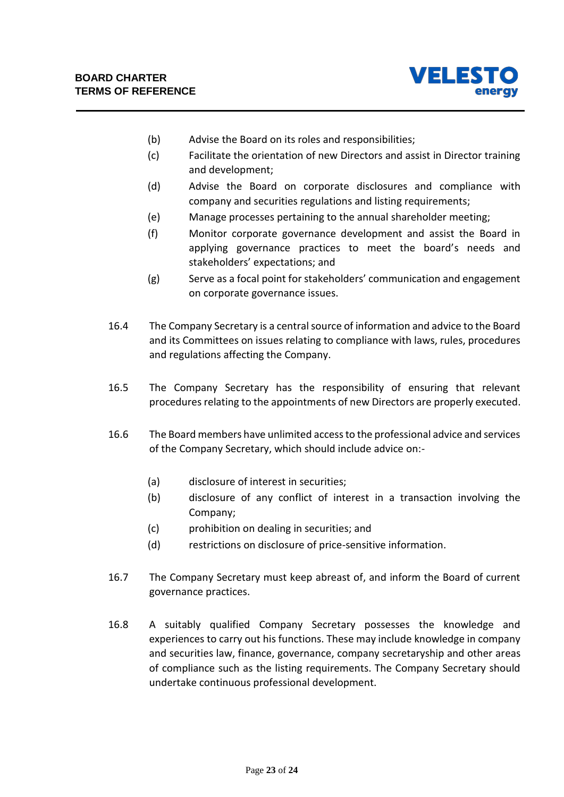

- (b) Advise the Board on its roles and responsibilities;
- (c) Facilitate the orientation of new Directors and assist in Director training and development;
- (d) Advise the Board on corporate disclosures and compliance with company and securities regulations and listing requirements;
- (e) Manage processes pertaining to the annual shareholder meeting;
- (f) Monitor corporate governance development and assist the Board in applying governance practices to meet the board's needs and stakeholders' expectations; and
- (g) Serve as a focal point for stakeholders' communication and engagement on corporate governance issues.
- 16.4 The Company Secretary is a central source of information and advice to the Board and its Committees on issues relating to compliance with laws, rules, procedures and regulations affecting the Company.
- 16.5 The Company Secretary has the responsibility of ensuring that relevant procedures relating to the appointments of new Directors are properly executed.
- 16.6 The Board members have unlimited access to the professional advice and services of the Company Secretary, which should include advice on:-
	- (a) disclosure of interest in securities;
	- (b) disclosure of any conflict of interest in a transaction involving the Company;
	- (c) prohibition on dealing in securities; and
	- (d) restrictions on disclosure of price-sensitive information.
- 16.7 The Company Secretary must keep abreast of, and inform the Board of current governance practices.
- 16.8 A suitably qualified Company Secretary possesses the knowledge and experiences to carry out his functions. These may include knowledge in company and securities law, finance, governance, company secretaryship and other areas of compliance such as the listing requirements. The Company Secretary should undertake continuous professional development.